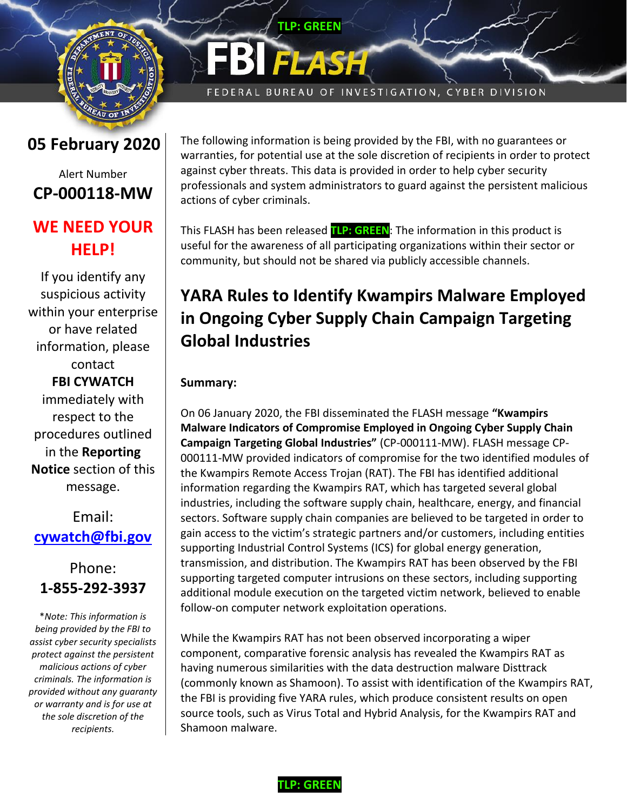

# **05 February 2020**

## Alert Number **CP-000118-MW**

## **WE NEED YOUR HELP!**

If you identify any suspicious activity within your enterprise or have related information, please contact **FBI CYWATCH** immediately with respect to the procedures outlined in the **Reporting Notice** section of this message.

Email: **[cywatch@fbi.gov](mailto:cywatch@fbi.gov)**

# Phone: **1-855-292-3937**

\**Note: This information is being provided by the FBI to assist cyber security specialists protect against the persistent malicious actions of cyber criminals. The information is provided without any guaranty or warranty and is for use at the sole discretion of the recipients.*

**TLP: GREEN** 

FEDERAL BUREAU OF INVESTIGATION, CYBER DIVISION

The following information is being provided by the FBI, with no guarantees or warranties, for potential use at the sole discretion of recipients in order to protect against cyber threats. This data is provided in order to help cyber security professionals and system administrators to guard against the persistent malicious actions of cyber criminals.

This FLASH has been released **TLP: GREEN**: The information in this product is useful for the awareness of all participating organizations within their sector or community, but should not be shared via publicly accessible channels.

# **YARA Rules to Identify Kwampirs Malware Employed in Ongoing Cyber Supply Chain Campaign Targeting Global Industries**

## **Summary:**

On 06 January 2020, the FBI disseminated the FLASH message **"Kwampirs Malware Indicators of Compromise Employed in Ongoing Cyber Supply Chain Campaign Targeting Global Industries"** (CP-000111-MW). FLASH message CP-000111-MW provided indicators of compromise for the two identified modules of the Kwampirs Remote Access Trojan (RAT). The FBI has identified additional information regarding the Kwampirs RAT, which has targeted several global industries, including the software supply chain, healthcare, energy, and financial sectors. Software supply chain companies are believed to be targeted in order to gain access to the victim's strategic partners and/or customers, including entities supporting Industrial Control Systems (ICS) for global energy generation, transmission, and distribution. The Kwampirs RAT has been observed by the FBI supporting targeted computer intrusions on these sectors, including supporting additional module execution on the targeted victim network, believed to enable follow-on computer network exploitation operations.

While the Kwampirs RAT has not been observed incorporating a wiper component, comparative forensic analysis has revealed the Kwampirs RAT as having numerous similarities with the data destruction malware Disttrack (commonly known as Shamoon). To assist with identification of the Kwampirs RAT, the FBI is providing five YARA rules, which produce consistent results on open source tools, such as Virus Total and Hybrid Analysis, for the Kwampirs RAT and Shamoon malware.

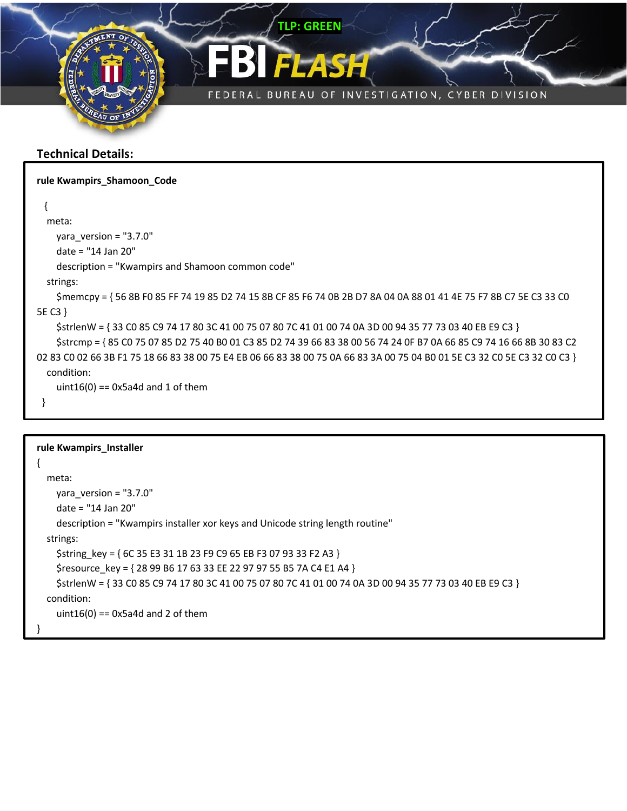

### **Technical Details:**

| rule Kwampirs_Shamoon_Code                                                                                                |
|---------------------------------------------------------------------------------------------------------------------------|
|                                                                                                                           |
| meta:                                                                                                                     |
| yara version = $"3.7.0"$                                                                                                  |
| date = "14 Jan 20"                                                                                                        |
| description = "Kwampirs and Shamoon common code"                                                                          |
| strings:                                                                                                                  |
| \$memcpy = {56 8B F0 85 FF 74 19 85 D2 74 15 8B CF 85 F6 74 0B 2B D7 8A 04 0A 88 01 41 4E 75 F7 8B C7 5E C3 33 C0         |
| 5E C3 }                                                                                                                   |
| \$strlenW = {33 C0 85 C9 74 17 80 3C 41 00 75 07 80 7C 41 01 00 74 0A 3D 00 94 35 77 73 03 40 EB E9 C3 }                  |
| \$strcmp = {85 C0 75 07 85 D2 75 40 B0 01 C3 85 D2 74 39 66 83 38 00 56 74 24 0F B7 0A 66 85 C9 74 16 66 8B 30 83 C2      |
| 02 83 C0 02 66 3B F1 75 18 66 83 38 00 75 E4 EB 06 66 83 38 00 75 0A 66 83 3A 00 75 04 B0 01 5E C3 32 C0 5E C3 32 C0 C3 } |
| condition:                                                                                                                |
| uint16(0) == $0x5a4d$ and 1 of them                                                                                       |
|                                                                                                                           |

```
rule Kwampirs_Installer
{
   meta:
     yara_version = "3.7.0"
     date = "14 Jan 20"
     description = "Kwampirs installer xor keys and Unicode string length routine"
   strings:
     $string_key = { 6C 35 E3 31 1B 23 F9 C9 65 EB F3 07 93 33 F2 A3 }
     $resource_key = { 28 99 B6 17 63 33 EE 22 97 97 55 B5 7A C4 E1 A4 }
     $strlenW = { 33 C0 85 C9 74 17 80 3C 41 00 75 07 80 7C 41 01 00 74 0A 3D 00 94 35 77 73 03 40 EB E9 C3 }
   condition:
    uint16(0) = 0x5a4d and 2 of them
}
```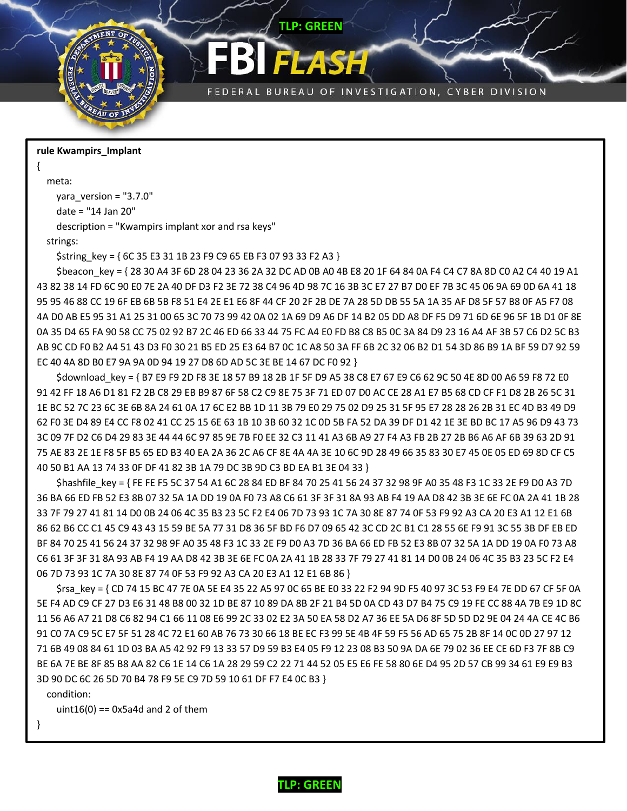

#### **rule Kwampirs\_Implant**

meta:

{

```
 yara_version = "3.7.0"
```
date = "14 Jan 20"

description = "Kwampirs implant xor and rsa keys"

strings:

\$string key = { 6C 35 E3 31 1B 23 F9 C9 65 EB F3 07 93 33 F2 A3 }

\$beacon key = { 28 30 A4 3F 6D 28 04 23 36 2A 32 DC AD 0B A0 4B E8 20 1F 64 84 0A F4 C4 C7 8A 8D C0 A2 C4 40 19 A1 43 82 38 14 FD 6C 90 E0 7E 2A 40 DF D3 F2 3E 72 38 C4 96 4D 98 7C 16 3B 3C E7 27 B7 D0 EF 7B 3C 45 06 9A 69 0D 6A 41 18 95 95 46 88 CC 19 6F EB 6B 5B F8 51 E4 2E E1 E6 8F 44 CF 20 2F 2B DE 7A 28 5D DB 55 5A 1A 35 AF D8 5F 57 B8 0F A5 F7 08 4A D0 AB E5 95 31 A1 25 31 00 65 3C 70 73 99 42 0A 02 1A 69 D9 A6 DF 14 B2 05 DD A8 DF F5 D9 71 6D 6E 96 5F 1B D1 0F 8E 0A 35 D4 65 FA 90 58 CC 75 02 92 B7 2C 46 ED 66 33 44 75 FC A4 E0 FD B8 C8 B5 0C 3A 84 D9 23 16 A4 AF 3B 57 C6 D2 5C B3 AB 9C CD F0 B2 A4 51 43 D3 F0 30 21 B5 ED 25 E3 64 B7 0C 1C A8 50 3A FF 6B 2C 32 06 B2 D1 54 3D 86 B9 1A BF 59 D7 92 59 EC 40 4A 8D B0 E7 9A 9A 0D 94 19 27 D8 6D AD 5C 3E BE 14 67 DC F0 92 }

**TLP: GREEN**

FEDERAL BUREAU OF INVESTIGATION, CYBER DIVISION

\$download key = { B7 E9 F9 2D F8 3E 18 57 B9 18 2B 1F 5F D9 A5 38 C8 E7 67 E9 C6 62 9C 50 4E 8D 00 A6 59 F8 72 E0 91 42 FF 18 A6 D1 81 F2 2B C8 29 EB B9 87 6F 58 C2 C9 8E 75 3F 71 ED 07 D0 AC CE 28 A1 E7 B5 68 CD CF F1 D8 2B 26 5C 31 1E BC 52 7C 23 6C 3E 6B 8A 24 61 0A 17 6C E2 BB 1D 11 3B 79 E0 29 75 02 D9 25 31 5F 95 E7 28 28 26 2B 31 EC 4D B3 49 D9 62 F0 3E D4 89 E4 CC F8 02 41 CC 25 15 6E 63 1B 10 3B 60 32 1C 0D 5B FA 52 DA 39 DF D1 42 1E 3E BD BC 17 A5 96 D9 43 73 3C 09 7F D2 C6 D4 29 83 3E 44 44 6C 97 85 9E 7B F0 EE 32 C3 11 41 A3 6B A9 27 F4 A3 FB 2B 27 2B B6 A6 AF 6B 39 63 2D 91 75 AE 83 2E 1E F8 5F B5 65 ED B3 40 EA 2A 36 2C A6 CF 8E 4A 4A 3E 10 6C 9D 28 49 66 35 83 30 E7 45 0E 05 ED 69 8D CF C5 40 50 B1 AA 13 74 33 0F DF 41 82 3B 1A 79 DC 3B 9D C3 BD EA B1 3E 04 33 }

\$hashfile\_key = { FE FE F5 5C 37 54 A1 6C 28 84 ED BF 84 70 25 41 56 24 37 32 98 9F A0 35 48 F3 1C 33 2E F9 D0 A3 7D 36 BA 66 ED FB 52 E3 8B 07 32 5A 1A DD 19 0A F0 73 A8 C6 61 3F 3F 31 8A 93 AB F4 19 AA D8 42 3B 3E 6E FC 0A 2A 41 1B 28 33 7F 79 27 41 81 14 D0 0B 24 06 4C 35 B3 23 5C F2 E4 06 7D 73 93 1C 7A 30 8E 87 74 0F 53 F9 92 A3 CA 20 E3 A1 12 E1 6B 86 62 B6 CC C1 45 C9 43 43 15 59 BE 5A 77 31 D8 36 5F BD F6 D7 09 65 42 3C CD 2C B1 C1 28 55 6E F9 91 3C 55 3B DF EB ED BF 84 70 25 41 56 24 37 32 98 9F A0 35 48 F3 1C 33 2E F9 D0 A3 7D 36 BA 66 ED FB 52 E3 8B 07 32 5A 1A DD 19 0A F0 73 A8 C6 61 3F 3F 31 8A 93 AB F4 19 AA D8 42 3B 3E 6E FC 0A 2A 41 1B 28 33 7F 79 27 41 81 14 D0 0B 24 06 4C 35 B3 23 5C F2 E4 06 7D 73 93 1C 7A 30 8E 87 74 0F 53 F9 92 A3 CA 20 E3 A1 12 E1 6B 86 }

 \$rsa\_key = { CD 74 15 BC 47 7E 0A 5E E4 35 22 A5 97 0C 65 BE E0 33 22 F2 94 9D F5 40 97 3C 53 F9 E4 7E DD 67 CF 5F 0A 5E F4 AD C9 CF 27 D3 E6 31 48 B8 00 32 1D BE 87 10 89 DA 8B 2F 21 B4 5D 0A CD 43 D7 B4 75 C9 19 FE CC 88 4A 7B E9 1D 8C 11 56 A6 A7 21 D8 C6 82 94 C1 66 11 08 E6 99 2C 33 02 E2 3A 50 EA 58 D2 A7 36 EE 5A D6 8F 5D 5D D2 9E 04 24 4A CE 4C B6 91 C0 7A C9 5C E7 5F 51 28 4C 72 E1 60 AB 76 73 30 66 18 BE EC F3 99 5E 4B 4F 59 F5 56 AD 65 75 2B 8F 14 0C 0D 27 97 12 71 6B 49 08 84 61 1D 03 BA A5 42 92 F9 13 33 57 D9 59 B3 E4 05 F9 12 23 08 B3 50 9A DA 6E 79 02 36 EE CE 6D F3 7F 8B C9 BE 6A 7E BE 8F 85 B8 AA 82 C6 1E 14 C6 1A 28 29 59 C2 22 71 44 52 05 E5 E6 FE 58 80 6E D4 95 2D 57 CB 99 34 61 E9 E9 B3 3D 90 DC 6C 26 5D 70 B4 78 F9 5E C9 7D 59 10 61 DF F7 E4 0C B3 }

condition:

uint $16(0) = 0x5a4d$  and 2 of them

}

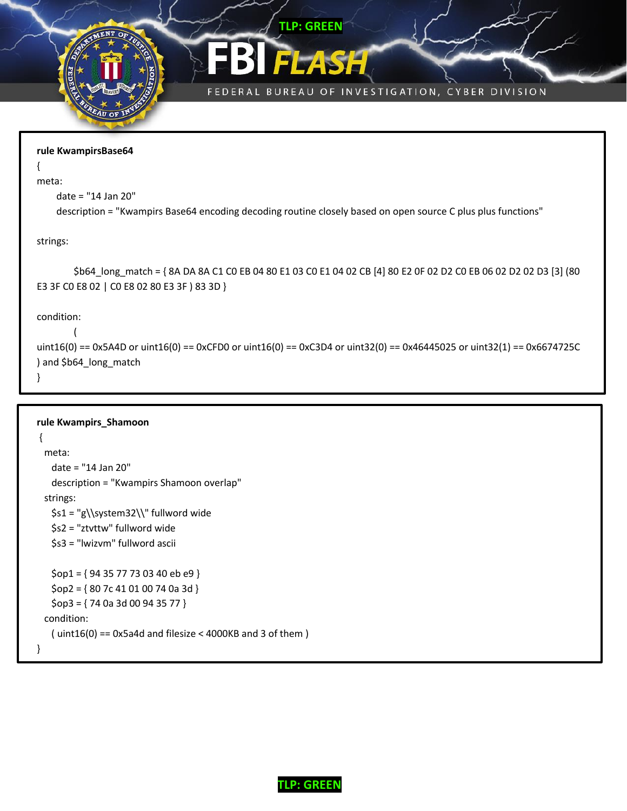



**TLP: GREEN**

```
rule KwampirsBase64
{
meta:
     date = "14 Jan 20"
     description = "Kwampirs Base64 encoding decoding routine closely based on open source C plus plus functions"
strings:
         $b64_long_match = { 8A DA 8A C1 C0 EB 04 80 E1 03 C0 E1 04 02 CB [4] 80 E2 0F 02 D2 C0 EB 06 02 D2 02 D3 [3] (80 
E3 3F C0 E8 02 | C0 E8 02 80 E3 3F ) 83 3D }
condition:
        (
uint16(0) == 0x5A4D or uint16(0) == 0xCFD0 or uint16(0) == 0xC3D4 or uint32(0) == 0x46445025 or uint32(1) == 0x6674725C
) and $b64_long_match
}
```

```
rule Kwampirs_Shamoon
{
  meta:
    date = "14 Jan 20"
    description = "Kwampirs Shamoon overlap"
  strings:
    $s1 = "g\\system32\\" fullword wide
    $s2 = "ztvttw" fullword wide
    $s3 = "lwizvm" fullword ascii
    $op1 = { 94 35 77 73 03 40 eb e9 }
    $op2 = { 80 7c 41 01 00 74 0a 3d }
   $op3 = { 74 0a 3d 00 94 35 77 } condition:
   (i uint16(0) == 0x5a4d and filesize < 4000KB and 3 of them (i)}
```
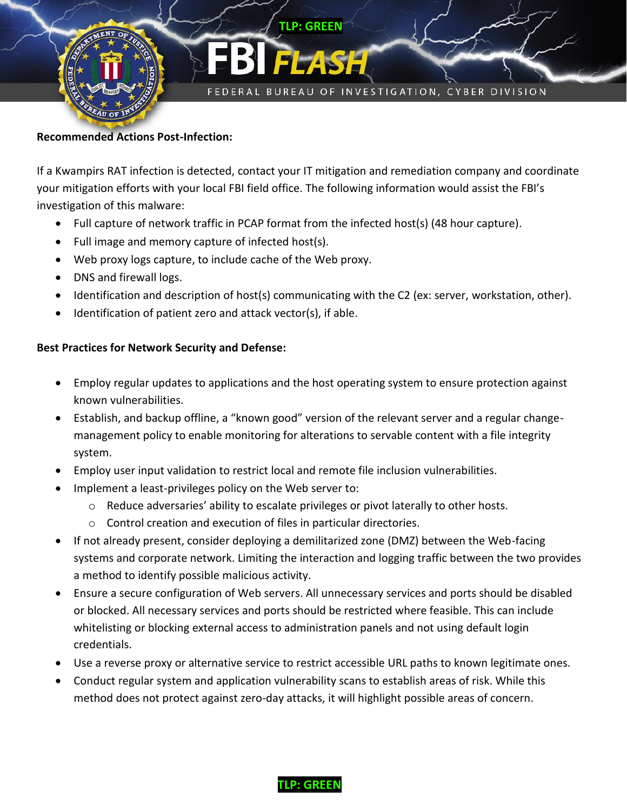

#### **Recommended Actions Post-Infection:**

If a Kwampirs RAT infection is detected, contact your IT mitigation and remediation company and coordinate your mitigation efforts with your local FBI field office. The following information would assist the FBI's investigation of this malware:

- Full capture of network traffic in PCAP format from the infected host(s) (48 hour capture).
- Full image and memory capture of infected host(s).
- Web proxy logs capture, to include cache of the Web proxy.
- DNS and firewall logs.
- Identification and description of host(s) communicating with the C2 (ex: server, workstation, other).
- $\bullet$  Identification of patient zero and attack vector(s), if able.

#### **Best Practices for Network Security and Defense:**

- Employ regular updates to applications and the host operating system to ensure protection against known vulnerabilities.
- Establish, and backup offline, a "known good" version of the relevant server and a regular changemanagement policy to enable monitoring for alterations to servable content with a file integrity system.
- Employ user input validation to restrict local and remote file inclusion vulnerabilities.
- Implement a least-privileges policy on the Web server to:
	- $\circ$  Reduce adversaries' ability to escalate privileges or pivot laterally to other hosts.
	- o Control creation and execution of files in particular directories.
- If not already present, consider deploying a demilitarized zone (DMZ) between the Web-facing systems and corporate network. Limiting the interaction and logging traffic between the two provides a method to identify possible malicious activity.
- Ensure a secure configuration of Web servers. All unnecessary services and ports should be disabled or blocked. All necessary services and ports should be restricted where feasible. This can include whitelisting or blocking external access to administration panels and not using default login credentials.
- Use a reverse proxy or alternative service to restrict accessible URL paths to known legitimate ones.
- Conduct regular system and application vulnerability scans to establish areas of risk. While this method does not protect against zero-day attacks, it will highlight possible areas of concern.